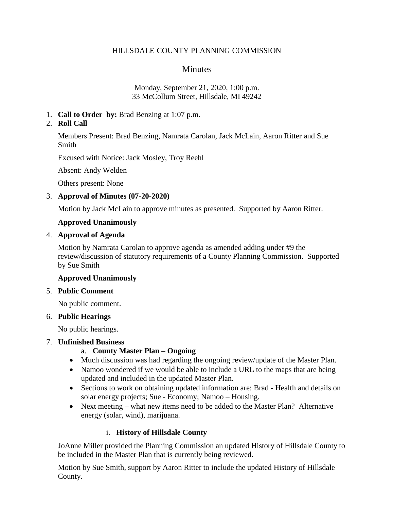#### HILLSDALE COUNTY PLANNING COMMISSION

# **Minutes**

#### Monday, September 21, 2020, 1:00 p.m. 33 McCollum Street, Hillsdale, MI 49242

1. **Call to Order by:** Brad Benzing at 1:07 p.m.

## 2. **Roll Call**

Members Present: Brad Benzing, Namrata Carolan, Jack McLain, Aaron Ritter and Sue Smith

Excused with Notice: Jack Mosley, Troy Reehl

Absent: Andy Welden

Others present: None

### 3. **Approval of Minutes (07-20-2020)**

Motion by Jack McLain to approve minutes as presented. Supported by Aaron Ritter.

## **Approved Unanimously**

### 4. **Approval of Agenda**

Motion by Namrata Carolan to approve agenda as amended adding under #9 the review/discussion of statutory requirements of a County Planning Commission. Supported by Sue Smith

### **Approved Unanimously**

### 5. **Public Comment**

No public comment.

### 6. **Public Hearings**

No public hearings.

### 7. **Unfinished Business**

### a. **County Master Plan – Ongoing**

- Much discussion was had regarding the ongoing review/update of the Master Plan.
- Namoo wondered if we would be able to include a URL to the maps that are being updated and included in the updated Master Plan.
- Sections to work on obtaining updated information are: Brad Health and details on solar energy projects; Sue - Economy; Namoo – Housing.
- Next meeting what new items need to be added to the Master Plan? Alternative energy (solar, wind), marijuana.

# i. **History of Hillsdale County**

JoAnne Miller provided the Planning Commission an updated History of Hillsdale County to be included in the Master Plan that is currently being reviewed.

Motion by Sue Smith, support by Aaron Ritter to include the updated History of Hillsdale County.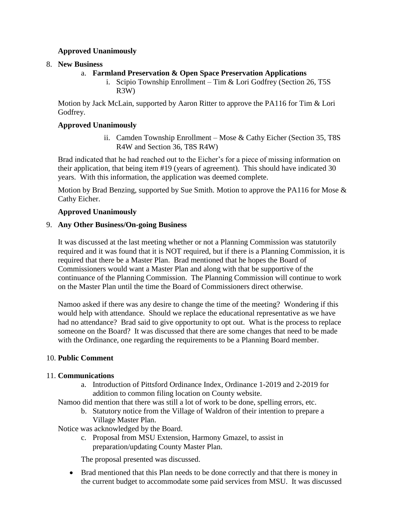### **Approved Unanimously**

### 8. **New Business**

- a. **Farmland Preservation & Open Space Preservation Applications**
	- i. Scipio Township Enrollment Tim & Lori Godfrey (Section 26, T5S R3W)

Motion by Jack McLain, supported by Aaron Ritter to approve the PA116 for Tim & Lori Godfrey.

### **Approved Unanimously**

ii. Camden Township Enrollment – Mose & Cathy Eicher (Section 35, T8S R4W and Section 36, T8S R4W)

Brad indicated that he had reached out to the Eicher's for a piece of missing information on their application, that being item #19 (years of agreement). This should have indicated 30 years. With this information, the application was deemed complete.

Motion by Brad Benzing, supported by Sue Smith. Motion to approve the PA116 for Mose  $\&$ Cathy Eicher.

### **Approved Unanimously**

### 9. **Any Other Business/On-going Business**

It was discussed at the last meeting whether or not a Planning Commission was statutorily required and it was found that it is NOT required, but if there is a Planning Commission, it is required that there be a Master Plan. Brad mentioned that he hopes the Board of Commissioners would want a Master Plan and along with that be supportive of the continuance of the Planning Commission. The Planning Commission will continue to work on the Master Plan until the time the Board of Commissioners direct otherwise.

Namoo asked if there was any desire to change the time of the meeting? Wondering if this would help with attendance. Should we replace the educational representative as we have had no attendance? Brad said to give opportunity to opt out. What is the process to replace someone on the Board? It was discussed that there are some changes that need to be made with the Ordinance, one regarding the requirements to be a Planning Board member.

# 10. **Public Comment**

### 11. **Communications**

- a. Introduction of Pittsford Ordinance Index, Ordinance 1-2019 and 2-2019 for addition to common filing location on County website.
- Namoo did mention that there was still a lot of work to be done, spelling errors, etc.
	- b. Statutory notice from the Village of Waldron of their intention to prepare a Village Master Plan.

Notice was acknowledged by the Board.

c. Proposal from MSU Extension, Harmony Gmazel, to assist in preparation/updating County Master Plan.

The proposal presented was discussed.

 Brad mentioned that this Plan needs to be done correctly and that there is money in the current budget to accommodate some paid services from MSU. It was discussed